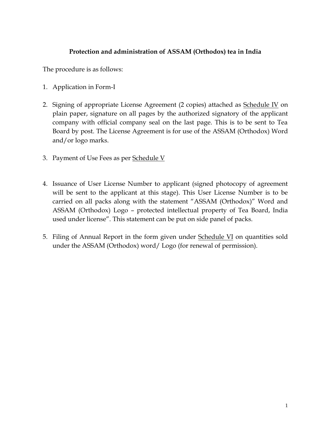## **Protection and administration of ASSAM (Orthodox) tea in India**

The procedure is as follows:

- 1. Application in Form-I
- 2. Signing of appropriate License Agreement (2 copies) attached as Schedule IV on plain paper, signature on all pages by the authorized signatory of the applicant company with official company seal on the last page. This is to be sent to Tea Board by post. The License Agreement is for use of the ASSAM (Orthodox) Word and/or logo marks.
- 3. Payment of Use Fees as per Schedule V
- 4. Issuance of User License Number to applicant (signed photocopy of agreement will be sent to the applicant at this stage). This User License Number is to be carried on all packs along with the statement "ASSAM (Orthodox)" Word and ASSAM (Orthodox) Logo – protected intellectual property of Tea Board, India used under license". This statement can be put on side panel of packs.
- 5. Filing of Annual Report in the form given under Schedule VI on quantities sold under the ASSAM (Orthodox) word/ Logo (for renewal of permission).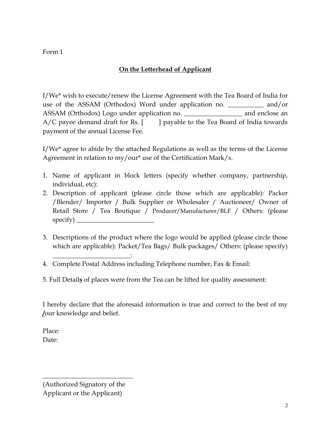Form 1

# **On the Letterhead of Applicant**

I/We\* wish to execute/renew the License Agreement with the Tea Board of India for use of the ASSAM (Orthodox) Word under application no. **\_\_\_\_\_\_\_\_\_\_\_** and/or ASSAM (Orthodox) Logo under application no. \_\_\_\_\_\_\_\_\_\_\_\_\_\_\_\_\_\_ and enclose an  $A/C$  payee demand draft for Rs.  $\begin{bmatrix} 1 \\ 2 \end{bmatrix}$  payable to the Tea Board of India towards payment of the annual License Fee.

I/We\* agree to abide by the attached Regulations as well as the terms of the License Agreement in relation to my/our\* use of the Certification Mark/s.

- 1. Name of applicant in block letters (specify whether company, partnership, individual, etc):
- 2. Description of applicant (please circle those which are applicable): Packer /Blender/ Importer / Bulk Supplier or Wholesaler / Auctioneer/ Owner of Retail Store / Tea Boutique / Producer/Manufacturer/BLF / Others: (please specify) \_\_\_\_\_\_\_\_\_\_\_\_\_\_\_\_\_\_\_\_\_\_\_\_
- 3. Descriptions of the product where the logo would be applied (please circle those which are applicable): Packet/Tea Bags/ Bulk packages/ Others: (please specify)
- 4. Complete Postal Address including Telephone number, Fax & Email:
- 5. Full Detail**s** of places were from the Tea can be lifted for quality assessment:

I hereby declare that the aforesaid information is true and correct to the best of my **/**our knowledge and belief.

Place: Date:

(Authorized Signatory of the Applicant or the Applicant)

 $\overline{\phantom{a}}$  , where  $\overline{\phantom{a}}$  , where  $\overline{\phantom{a}}$  , where  $\overline{\phantom{a}}$ 

\_\_\_\_\_\_\_\_\_\_\_\_\_\_\_\_\_\_\_\_\_\_\_\_: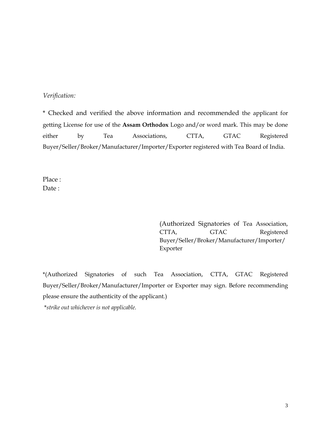#### *Verification:*

\* Checked and verified the above information and recommended the applicant for getting License for use of the **Assam Orthodox** Logo and/or word mark. This may be done either by Tea Associations, CTTA, GTAC Registered Buyer/Seller/Broker/Manufacturer/Importer/Exporter registered with Tea Board of India.

Place : Date:

> (Authorized Signatories of Tea Association, CTTA, GTAC Registered Buyer/Seller/Broker/Manufacturer/Importer/ Exporter

\*(Authorized Signatories of such Tea Association, CTTA, GTAC Registered Buyer/Seller/Broker/Manufacturer/Importer or Exporter may sign. Before recommending please ensure the authenticity of the applicant.)

\**strike out whichever is not applicable.*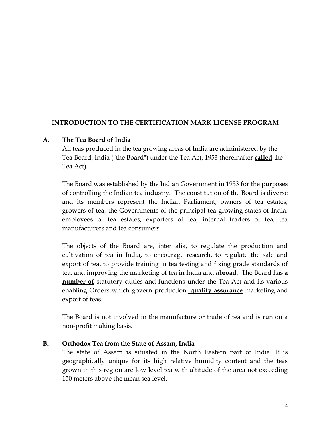## **INTRODUCTION TO THE CERTIFICATION MARK LICENSE PROGRAM**

## **A. The Tea Board of India**

All teas produced in the tea growing areas of India are administered by the Tea Board, India ("the Board") under the Tea Act, 1953 (hereinafter **called** the Tea Act).

The Board was established by the Indian Government in 1953 for the purposes of controlling the Indian tea industry. The constitution of the Board is diverse and its members represent the Indian Parliament, owners of tea estates, growers of tea, the Governments of the principal tea growing states of India, employees of tea estates, exporters of tea, internal traders of tea, tea manufacturers and tea consumers.

The objects of the Board are, inter alia, to regulate the production and cultivation of tea in India, to encourage research, to regulate the sale and export of tea, to provide training in tea testing and fixing grade standards of tea, and improving the marketing of tea in India and **abroad**. The Board has **a number of** statutory duties and functions under the Tea Act and its various enabling Orders which govern production, **quality assurance** marketing and export of teas.

The Board is not involved in the manufacture or trade of tea and is run on a non-profit making basis.

## **B. Orthodox Tea from the State of Assam, India**

The state of Assam is situated in the North Eastern part of India. It is geographically unique for its high relative humidity content and the teas grown in this region are low level tea with altitude of the area not exceeding 150 meters above the mean sea level.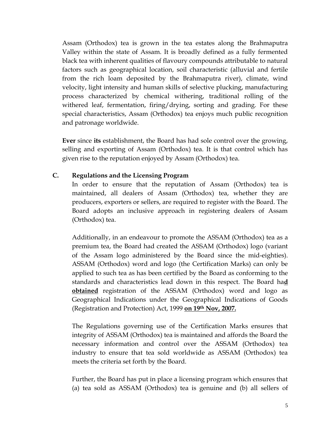Assam (Orthodox) tea is grown in the tea estates along the Brahmaputra Valley within the state of Assam. It is broadly defined as a fully fermented black tea with inherent qualities of flavoury compounds attributable to natural factors such as geographical location, soil characteristic (alluvial and fertile from the rich loam deposited by the Brahmaputra river), climate, wind velocity, light intensity and human skills of selective plucking, manufacturing process characterized by chemical withering, traditional rolling of the withered leaf, fermentation, firing/drying, sorting and grading. For these special characteristics, Assam (Orthodox) tea enjoys much public recognition and patronage worldwide.

**Ever** since **its** establishment, the Board has had sole control over the growing, selling and exporting of Assam (Orthodox) tea. It is that control which has given rise to the reputation enjoyed by Assam (Orthodox) tea.

## **C. Regulations and the Licensing Program**

In order to ensure that the reputation of Assam (Orthodox) tea is maintained, all dealers of Assam (Orthodox) tea, whether they are producers, exporters or sellers, are required to register with the Board. The Board adopts an inclusive approach in registering dealers of Assam (Orthodox) tea.

Additionally, in an endeavour to promote the ASSAM (Orthodox) tea as a premium tea, the Board had created the ASSAM (Orthodox) logo (variant of the Assam logo administered by the Board since the mid-eighties). ASSAM (Orthodox) word and logo (the Certification Marks) can only be applied to such tea as has been certified by the Board as conforming to the standards and characteristics lead down in this respect. The Board ha**d obtained** registration of the ASSAM (Orthodox) word and logo as Geographical Indications under the Geographical Indications of Goods (Registration and Protection) Act, 1999 **on 19th Nov, 2007.**

The Regulations governing use of the Certification Marks ensures that integrity of ASSAM (Orthodox) tea is maintained and affords the Board the necessary information and control over the ASSAM (Orthodox) tea industry to ensure that tea sold worldwide as ASSAM (Orthodox) tea meets the criteria set forth by the Board.

Further, the Board has put in place a licensing program which ensures that (a) tea sold as ASSAM (Orthodox) tea is genuine and (b) all sellers of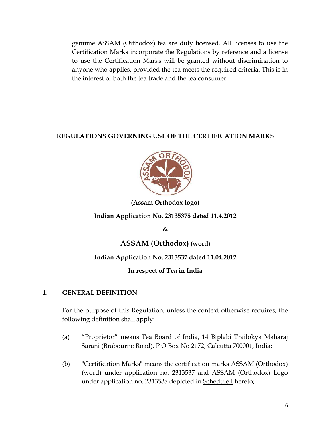genuine ASSAM (Orthodox) tea are duly licensed. All licenses to use the Certification Marks incorporate the Regulations by reference and a license to use the Certification Marks will be granted without discrimination to anyone who applies, provided the tea meets the required criteria. This is in the interest of both the tea trade and the tea consumer.

# **REGULATIONS GOVERNING USE OF THE CERTIFICATION MARKS**



# **(Assam Orthodox logo)**

# **Indian Application No. 23135378 dated 11.4.2012**

**&**

# **ASSAM (Orthodox) (word)**

# **Indian Application No. 2313537 dated 11.04.2012**

# **In respect of Tea in India**

# **1. GENERAL DEFINITION**

For the purpose of this Regulation, unless the context otherwise requires, the following definition shall apply:

- (a) "Proprietor" means Tea Board of India, 14 Biplabi Trailokya Maharaj Sarani (Brabourne Road), P O Box No 2172, Calcutta 700001, India;
- (b) "Certification Marks" means the certification marks ASSAM (Orthodox) (word) under application no. 2313537 and ASSAM (Orthodox) Logo under application no. 2313538 depicted in Schedule I hereto;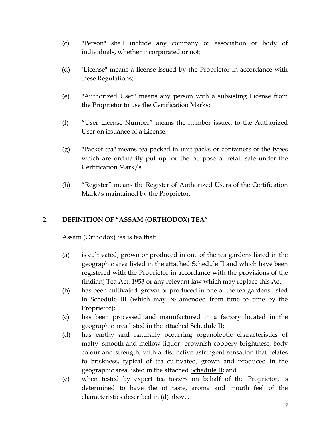- (c) "Person" shall include any company or association or body of individuals, whether incorporated or not;
- (d) "License" means a license issued by the Proprietor in accordance with these Regulations;
- (e) "Authorized User" means any person with a subsisting License from the Proprietor to use the Certification Marks;
- (f) "User License Number" means the number issued to the Authorized User on issuance of a License.
- (g) "Packet tea" means tea packed in unit packs or containers of the types which are ordinarily put up for the purpose of retail sale under the Certification Mark/s.
- (h) "Register" means the Register of Authorized Users of the Certification Mark/s maintained by the Proprietor.

## **2. DEFINITION OF "ASSAM (ORTHODOX) TEA"**

Assam (Orthodox) tea is tea that:

- (a) is cultivated, grown or produced in one of the tea gardens listed in the geographic area listed in the attached Schedule II and which have been registered with the Proprietor in accordance with the provisions of the (Indian) Tea Act, 1953 or any relevant law which may replace this Act;
- (b) has been cultivated, grown or produced in one of the tea gardens listed in Schedule III (which may be amended from time to time by the Proprietor);
- (c) has been processed and manufactured in a factory located in the geographic area listed in the attached Schedule II;
- (d) has earthy and naturally occurring organoleptic characteristics of malty, smooth and mellow liquor, brownish coppery brightness, body colour and strength, with a distinctive astringent sensation that relates to briskness, typical of tea cultivated, grown and produced in the geographic area listed in the attached Schedule II; and
- (e) when tested by expert tea tasters on behalf of the Proprietor, is determined to have the of taste, aroma and mouth feel of the characteristics described in (d) above.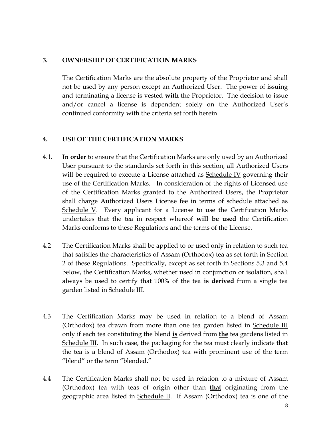## **3. OWNERSHIP OF CERTIFICATION MARKS**

The Certification Marks are the absolute property of the Proprietor and shall not be used by any person except an Authorized User. The power of issuing and terminating a license is vested **with** the Proprietor. The decision to issue and/or cancel a license is dependent solely on the Authorized User's continued conformity with the criteria set forth herein.

## **4. USE OF THE CERTIFICATION MARKS**

- 4.1. **In order** to ensure that the Certification Marks are only used by an Authorized User pursuant to the standards set forth in this section, all Authorized Users will be required to execute a License attached as **Schedule IV** governing their use of the Certification Marks. In consideration of the rights of Licensed use of the Certification Marks granted to the Authorized Users, the Proprietor shall charge Authorized Users License fee in terms of schedule attached as Schedule V. Every applicant for a License to use the Certification Marks undertakes that the tea in respect whereof **will be used** the Certification Marks conforms to these Regulations and the terms of the License.
- 4.2 The Certification Marks shall be applied to or used only in relation to such tea that satisfies the characteristics of Assam (Orthodox) tea as set forth in Section 2 of these Regulations. Specifically, except as set forth in Sections 5.3 and 5.4 below, the Certification Marks, whether used in conjunction or isolation, shall always be used to certify that 100% of the tea **is derived** from a single tea garden listed in Schedule III.
- 4.3 The Certification Marks may be used in relation to a blend of Assam (Orthodox) tea drawn from more than one tea garden listed in Schedule III only if each tea constituting the blend **is** derived from **the** tea gardens listed in Schedule III. In such case, the packaging for the tea must clearly indicate that the tea is a blend of Assam (Orthodox) tea with prominent use of the term "blend" or the term "blended."
- 4.4 The Certification Marks shall not be used in relation to a mixture of Assam (Orthodox) tea with teas of origin other than **that** originating from the geographic area listed in Schedule II. If Assam (Orthodox) tea is one of the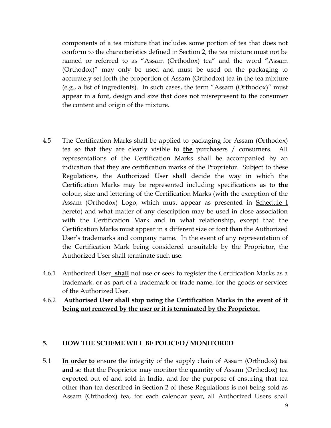components of a tea mixture that includes some portion of tea that does not conform to the characteristics defined in Section 2, the tea mixture must not be named or referred to as "Assam (Orthodox) tea" and the word "Assam (Orthodox)" may only be used and must be used on the packaging to accurately set forth the proportion of Assam (Orthodox) tea in the tea mixture (e.g., a list of ingredients). In such cases, the term "Assam (Orthodox)" must appear in a font, design and size that does not misrepresent to the consumer the content and origin of the mixture.

- 4.5 The Certification Marks shall be applied to packaging for Assam (Orthodox) tea so that they are clearly visible to **the** purchasers / consumers. All representations of the Certification Marks shall be accompanied by an indication that they are certification marks of the Proprietor. Subject to these Regulations, the Authorized User shall decide the way in which the Certification Marks may be represented including specifications as to **the** colour, size and lettering of the Certification Marks (with the exception of the Assam (Orthodox) Logo, which must appear as presented in Schedule I hereto) and what matter of any description may be used in close association with the Certification Mark and in what relationship, except that the Certification Marks must appear in a different size or font than the Authorized User's trademarks and company name. In the event of any representation of the Certification Mark being considered unsuitable by the Proprietor, the Authorized User shall terminate such use.
- 4.6.1 Authorized User **shall** not use or seek to register the Certification Marks as a trademark, or as part of a trademark or trade name, for the goods or services of the Authorized User.

## 4.6.2 **Authorised User shall stop using the Certification Marks in the event of it being not renewed by the user or it is terminated by the Proprietor.**

#### **5. HOW THE SCHEME WILL BE POLICED / MONITORED**

5.1 **In order to** ensure the integrity of the supply chain of Assam (Orthodox) tea **and** so that the Proprietor may monitor the quantity of Assam (Orthodox) tea exported out of and sold in India, and for the purpose of ensuring that tea other than tea described in Section 2 of these Regulations is not being sold as Assam (Orthodox) tea, for each calendar year, all Authorized Users shall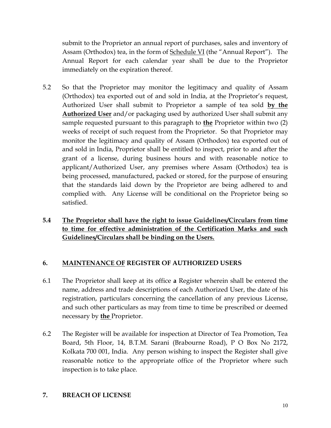submit to the Proprietor an annual report of purchases, sales and inventory of Assam (Orthodox) tea, in the form of Schedule VI (the "Annual Report"). The Annual Report for each calendar year shall be due to the Proprietor immediately on the expiration thereof.

- 5.2 So that the Proprietor may monitor the legitimacy and quality of Assam (Orthodox) tea exported out of and sold in India, at the Proprietor's request, Authorized User shall submit to Proprietor a sample of tea sold **by the Authorized User** and/or packaging used by authorized User shall submit any sample requested pursuant to this paragraph to **the** Proprietor within two (2) weeks of receipt of such request from the Proprietor. So that Proprietor may monitor the legitimacy and quality of Assam (Orthodox) tea exported out of and sold in India, Proprietor shall be entitled to inspect, prior to and after the grant of a license, during business hours and with reasonable notice to applicant/Authorized User, any premises where Assam (Orthodox) tea is being processed, manufactured, packed or stored, for the purpose of ensuring that the standards laid down by the Proprietor are being adhered to and complied with. Any License will be conditional on the Proprietor being so satisfied.
- **5.4 The Proprietor shall have the right to issue Guidelines/Circulars from time to time for effective administration of the Certification Marks and such Guidelines/Circulars shall be binding on the Users.**

## **6. MAINTENANCE OF REGISTER OF AUTHORIZED USERS**

- 6.1 The Proprietor shall keep at its office **a** Register wherein shall be entered the name, address and trade descriptions of each Authorized User, the date of his registration, particulars concerning the cancellation of any previous License, and such other particulars as may from time to time be prescribed or deemed necessary by **the** Proprietor.
- 6.2 The Register will be available for inspection at Director of Tea Promotion, Tea Board, 5th Floor, 14, B.T.M. Sarani (Brabourne Road), P O Box No 2172, Kolkata 700 001, India. Any person wishing to inspect the Register shall give reasonable notice to the appropriate office of the Proprietor where such inspection is to take place.

## **7. BREACH OF LICENSE**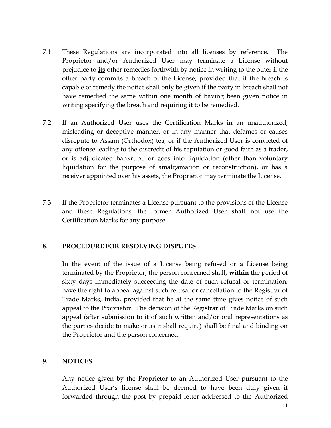- 7.1 These Regulations are incorporated into all licenses by reference. The Proprietor and/or Authorized User may terminate a License without prejudice to **its** other remedies forthwith by notice in writing to the other if the other party commits a breach of the License; provided that if the breach is capable of remedy the notice shall only be given if the party in breach shall not have remedied the same within one month of having been given notice in writing specifying the breach and requiring it to be remedied.
- 7.2 If an Authorized User uses the Certification Marks in an unauthorized, misleading or deceptive manner, or in any manner that defames or causes disrepute to Assam (Orthodox) tea, or if the Authorized User is convicted of any offense leading to the discredit of his reputation or good faith as a trader, or is adjudicated bankrupt, or goes into liquidation (other than voluntary liquidation for the purpose of amalgamation or reconstruction), or has a receiver appointed over his assets, the Proprietor may terminate the License.
- 7.3 If the Proprietor terminates a License pursuant to the provisions of the License and these Regulations, the former Authorized User **shall** not use the Certification Marks for any purpose.

#### **8. PROCEDURE FOR RESOLVING DISPUTES**

In the event of the issue of a License being refused or a License being terminated by the Proprietor, the person concerned shall, **within** the period of sixty days immediately succeeding the date of such refusal or termination, have the right to appeal against such refusal or cancellation to the Registrar of Trade Marks, India, provided that he at the same time gives notice of such appeal to the Proprietor. The decision of the Registrar of Trade Marks on such appeal (after submission to it of such written and/or oral representations as the parties decide to make or as it shall require) shall be final and binding on the Proprietor and the person concerned.

#### **9. NOTICES**

Any notice given by the Proprietor to an Authorized User pursuant to the Authorized User's license shall be deemed to have been duly given if forwarded through the post by prepaid letter addressed to the Authorized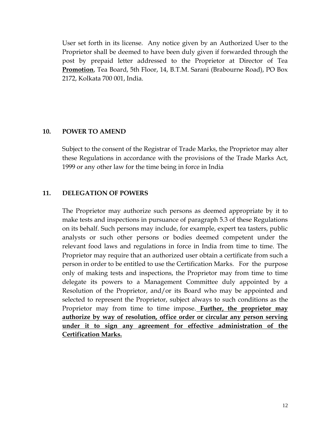User set forth in its license. Any notice given by an Authorized User to the Proprietor shall be deemed to have been duly given if forwarded through the post by prepaid letter addressed to the Proprietor at Director of Tea **Promotion**, Tea Board, 5th Floor, 14, B.T.M. Sarani (Brabourne Road), PO Box 2172, Kolkata 700 001, India.

#### **10. POWER TO AMEND**

Subject to the consent of the Registrar of Trade Marks, the Proprietor may alter these Regulations in accordance with the provisions of the Trade Marks Act, 1999 or any other law for the time being in force in India

## **11. DELEGATION OF POWERS**

The Proprietor may authorize such persons as deemed appropriate by it to make tests and inspections in pursuance of paragraph 5.3 of these Regulations on its behalf. Such persons may include, for example, expert tea tasters, public analysts or such other persons or bodies deemed competent under the relevant food laws and regulations in force in India from time to time. The Proprietor may require that an authorized user obtain a certificate from such a person in order to be entitled to use the Certification Marks. For the purpose only of making tests and inspections, the Proprietor may from time to time delegate its powers to a Management Committee duly appointed by a Resolution of the Proprietor, and/or its Board who may be appointed and selected to represent the Proprietor, subject always to such conditions as the Proprietor may from time to time impose. **Further, the proprietor may authorize by way of resolution, office order or circular any person serving under it to sign any agreement for effective administration of the Certification Marks.**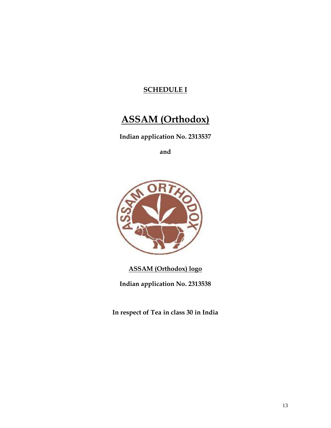# **SCHEDULE I**

# **ASSAM (Orthodox)**

**Indian application No. 2313537**

**and**



**ASSAM (Orthodox) logo**

**Indian application No. 2313538**

**In respect of Tea in class 30 in India**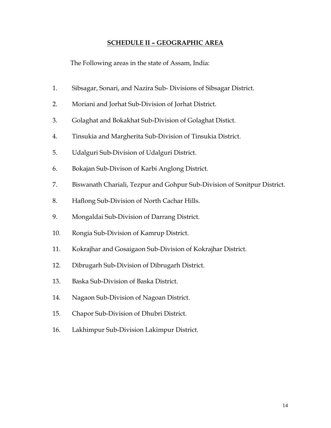#### **SCHEDULE II – GEOGRAPHIC AREA**

The Following areas in the state of Assam, India:

- 1. Sibsagar, Sonari, and Nazira Sub- Divisions of Sibsagar District.
- 2. Moriani and Jorhat Sub-Division of Jorhat District.
- 3. Golaghat and Bokakhat Sub-Division of Golaghat Distict.
- 4. Tinsukia and Margherita Sub-Division of Tinsukia District.
- 5. Udalguri Sub-Division of Udalguri District.
- 6. Bokajan Sub-Divison of Karbi Anglong District.
- 7. Biswanath Chariali, Tezpur and Gohpur Sub-Division of Sonitpur District.
- 8. Haflong Sub-Division of North Cachar Hills.
- 9. Mongaldai Sub-Division of Darrang District.
- 10. Rongia Sub-Division of Kamrup District.
- 11. Kokrajhar and Gosaigaon Sub-Division of Kokrajhar District.
- 12. Dibrugarh Sub-Division of Dibrugarh District.
- 13. Baska Sub-Division of Baska District.
- 14. Nagaon Sub-Division of Nagoan District.
- 15. Chapor Sub-Division of Dhubri District.
- 16. Lakhimpur Sub-Division Lakimpur District.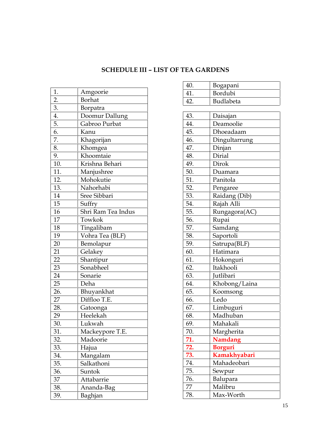# **SCHEDULE III – LIST OF TEA GARDENS**

| 1.  | Amgoorie           |  |  |  |  |  |
|-----|--------------------|--|--|--|--|--|
| 2.  | <b>Borhat</b>      |  |  |  |  |  |
| 3.  | Borpatra           |  |  |  |  |  |
| 4.  | Doomur Dallung     |  |  |  |  |  |
| 5.  | Gabroo Purbat      |  |  |  |  |  |
| 6.  | Kanu               |  |  |  |  |  |
| 7.  | Khagorijan         |  |  |  |  |  |
| 8.  | Khomgea            |  |  |  |  |  |
| 9.  | Khoomtaie          |  |  |  |  |  |
| 10. | Krishna Behari     |  |  |  |  |  |
| 11. | Manjushree         |  |  |  |  |  |
| 12. | Mohokutie          |  |  |  |  |  |
| 13. | Nahorhabi          |  |  |  |  |  |
| 14  | Sree Sibbari       |  |  |  |  |  |
| 15  | Suffry             |  |  |  |  |  |
| 16  | Shri Ram Tea Indus |  |  |  |  |  |
| 17  | Towkok             |  |  |  |  |  |
| 18  | Tingalibam         |  |  |  |  |  |
| 19  | Vohra Tea (BLF)    |  |  |  |  |  |
| 20  | Bemolapur          |  |  |  |  |  |
| 21  | Gelakey            |  |  |  |  |  |
| 22  | Shantipur          |  |  |  |  |  |
| 23  | Sonabheel          |  |  |  |  |  |
| 24  | Sonarie            |  |  |  |  |  |
| 25  | Deha               |  |  |  |  |  |
| 26. | Bhuyankhat         |  |  |  |  |  |
| 27  | Diffloo T.E.       |  |  |  |  |  |
| 28. | Gatoonga           |  |  |  |  |  |
| 29  | Heelekah           |  |  |  |  |  |
| 30. | Lukwah             |  |  |  |  |  |
| 31. | Mackeypore T.E.    |  |  |  |  |  |
| 32. | Madoorie           |  |  |  |  |  |
| 33. | Hajua              |  |  |  |  |  |
| 34. | Mangalam           |  |  |  |  |  |
| 35. | Salkathoni         |  |  |  |  |  |
| 36. | Suntok             |  |  |  |  |  |
| 37  | Attabarrie         |  |  |  |  |  |
| 38. | Ananda-Bag         |  |  |  |  |  |
| 39. | Baghjan            |  |  |  |  |  |

| 40. | Bogapani       |  |  |  |  |  |
|-----|----------------|--|--|--|--|--|
| 41. | Bordubi        |  |  |  |  |  |
| 42. | Budlabeta      |  |  |  |  |  |
|     |                |  |  |  |  |  |
| 43. | Daisajan       |  |  |  |  |  |
| 44. | Deamoolie      |  |  |  |  |  |
| 45. | Dhoeadaam      |  |  |  |  |  |
| 46. | Dingultarrung  |  |  |  |  |  |
| 47. | Dinjan         |  |  |  |  |  |
| 48. | Dirial         |  |  |  |  |  |
| 49. | Dirok          |  |  |  |  |  |
| 50. | Duamara        |  |  |  |  |  |
| 51. | Panitola       |  |  |  |  |  |
| 52. | Pengaree       |  |  |  |  |  |
| 53. | Raidang (Dib)  |  |  |  |  |  |
| 54. | Rajah Alli     |  |  |  |  |  |
| 55. | Rungagora(AC)  |  |  |  |  |  |
| 56. | Rupai          |  |  |  |  |  |
| 57. | Samdang        |  |  |  |  |  |
| 58. | Saportoli      |  |  |  |  |  |
| 59. | Satrupa(BLF)   |  |  |  |  |  |
| 60. | Hatimara       |  |  |  |  |  |
| 61. | Hokonguri      |  |  |  |  |  |
| 62. | Itakhooli      |  |  |  |  |  |
| 63. | Jutlibari      |  |  |  |  |  |
| 64. | Khobong/Laina  |  |  |  |  |  |
| 65. | Koomsong       |  |  |  |  |  |
| 66. | Ledo           |  |  |  |  |  |
| 67. | Limbuguri      |  |  |  |  |  |
| 68. | Madhuban       |  |  |  |  |  |
| 69. | Mahakali       |  |  |  |  |  |
| 70. | Margherita     |  |  |  |  |  |
| 71. | <b>Namdang</b> |  |  |  |  |  |
| 72. | <b>Borguri</b> |  |  |  |  |  |
| 73. | Kamakhyabari   |  |  |  |  |  |
| 74. | Mahadeobari    |  |  |  |  |  |
| 75. | Sewpur         |  |  |  |  |  |
| 76. | Balupara       |  |  |  |  |  |
| 77  | Malibru        |  |  |  |  |  |
| 78. | Max-Worth      |  |  |  |  |  |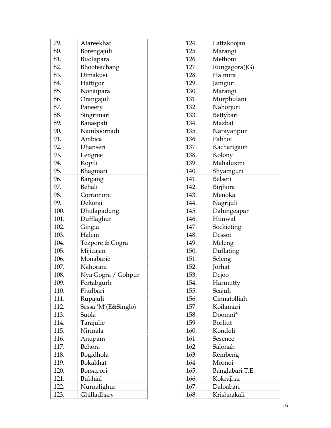| 79.  | Atareekhat          |
|------|---------------------|
| 80.  | Borengajuli         |
| 81.  | Budlapara           |
| 82.  | Bhooteachang        |
| 83.  | Dimakusi            |
| 84.  | Hattigor            |
| 85.  | Nonaipara           |
| 86.  | Orangajuli          |
| 87.  | Paneery             |
| 88.  | Singrimari          |
| 89.  | Banaspati           |
| 90.  | Namboornadi         |
| 91.  | Ambica              |
| 92.  | Dhanseri            |
| 93.  | Lengree             |
| 94.  | Kopili              |
| 95.  | Bhagmari            |
| 96.  | Bargang             |
| 97.  | Behali              |
| 98.  | Corramore           |
| 99.  | Dekorai             |
| 100. | Dhulapadung         |
| 101. | Dufflaghur          |
| 102. | Gingia              |
| 103. | Halem               |
| 104. | Tezpore & Gogra     |
| 105. | Mijicajan           |
| 106. | Monabarie           |
| 107. | Nahorani            |
| 108. | Nya Gogra / Gohpur  |
| 109. | Pertabgurh          |
| 110. | Phulbari            |
| 111. | Rupajuli            |
| 112. | Sessa 'M'(E&Singlo) |
| 113. | Suola               |
| 114. | Tarajulie           |
| 115. | Nirmala             |
| 116. | Anupam              |
| 117. | Behora              |
| 118. | Bogidhola           |
| 119. | Bokakhat            |
| 120. | Borsapori           |
| 121. | <b>Bukhial</b>      |
| 122. | Nurnalighur         |
| 123. | Ghilladhary         |
|      |                     |

| 124. | Lattakoojan     |
|------|-----------------|
| 125. | Marangi         |
| 126. | Methoni         |
| 127. | Rungagora(JG)   |
| 128. | Halmira         |
| 129. | Jamguri         |
| 130. | Marangi         |
| 131. | Murphulani      |
| 132. | Nahorjuri       |
| 133. | Bettybari       |
| 134. | Mazbat          |
| 135. | Narayanpur      |
| 136. | Pabhoi          |
| 137. | Kacharigaon     |
| 138. | Kolony          |
| 139. | Mahaluxmi       |
| 140. | Shyamguri       |
| 141. | Belseri         |
| 142. | Birjhora        |
| 143. | Menoka          |
| 144. | Nagrijuli       |
| 145. | Dahingeapar     |
| 146. | Hunwal          |
| 147. | Sockieting      |
| 148. | Dessoi          |
| 149. | Meleng          |
| 150. | Duflating       |
| 151. | Seleng          |
| 152. | Jorhat          |
| 153. | Dejoo           |
| 154. | Harmutty        |
| 155. | Seajuli         |
| 156. | Cinnatolliah    |
| 157. | Koilamari       |
| 158. | Doomni*         |
| 159  | Borliut         |
| 160. | Kondoli         |
| 161  | Sesenee         |
| 162  | Salonah         |
| 163  | Rembeng         |
| 164  | Mornoi          |
| 165. | Banglabari T.E. |
| 166. | Kokrajhar       |
| 167. | Daloabari       |
| 168. | Krishnakali     |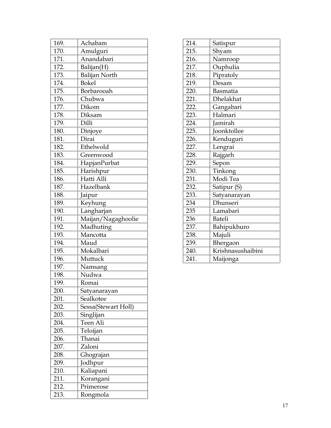| 169. | Achabam              |
|------|----------------------|
| 170. | Amulguri             |
| 171. | Anandabari           |
| 172. | Balijan(H)           |
| 173. | <b>Balijan North</b> |
| 174. | <b>Bokel</b>         |
| 175. | Borbarooah           |
| 176. | Chubwa               |
| 177. | Dikom                |
| 178. | Diksam               |
| 179. | Dilli                |
| 180. | Dinjoye              |
| 181. | Dirai                |
| 182. | Ethelwold            |
| 183. | Greenwood            |
| 184. | HapjanPurbat         |
| 185. | Harishpur            |
| 186. | Hatti Alli           |
| 187. | Hazelbank            |
| 188. | Jaipur               |
| 189. | Keyhung              |
| 190. | Langharjan           |
| 191. | Maijan/Nagaghoolie   |
| 192. | Madhuting            |
| 193. | Mancotta             |
| 194. | Maud                 |
| 195. | Mokalbari            |
| 196. | Muttuck              |
| 197. | Namsang              |
| 198. | Nudwa                |
| 199. | Romai                |
| 200. | Satyanarayan         |
| 201. | Sealkotee            |
| 202. | Sessa(Stewart Holl)  |
| 203. | Singlijan            |
| 204. | Teen Ali             |
| 205. | Teloijan             |
| 206. | Thanai               |
| 207. | Zaloni               |
| 208. | Ghograjan            |
| 209. | Jodhpur              |
| 210. | Kaliapani            |
| 211. | Korangani            |
| 212. | Primerose            |
| 213. | Rongmola             |

| 214. | Satispur          |
|------|-------------------|
| 215. | Shyam             |
| 216. | Namroop           |
| 217. | Ouphulia          |
| 218. | Pipratoly         |
| 219. | Desam             |
| 220. | Basmatia          |
| 221. | <b>Dhelakhat</b>  |
| 222. | Gangabari         |
| 223. | Halmari           |
| 224. | Jamirah           |
| 225. | Joonktollee       |
| 226. | Kenduguri         |
| 227. | Lengrai           |
| 228. | Rajgarh           |
| 229. | Sepon             |
| 230. | Tinkong           |
| 231. | Modi Tea          |
| 232. | Satipur (S)       |
| 233. | Satyanarayan      |
| 234  | Dhunseri          |
| 235  | Lamabari          |
| 236  | <b>Bateli</b>     |
| 237. | Bahipukhuro       |
| 238. | Majuli            |
| 239. | Bhergaon          |
| 240. | Krishnasushaibini |
| 241. | Maijonga          |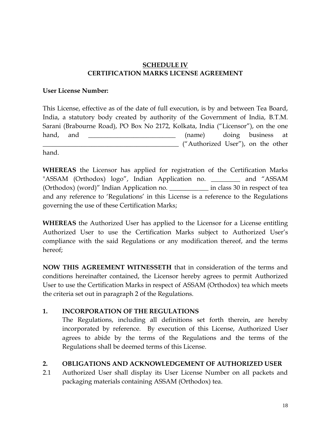## **SCHEDULE IV CERTIFICATION MARKS LICENSE AGREEMENT**

### **User License Number:**

This License, effective as of the date of full execution, is by and between Tea Board, India, a statutory body created by authority of the Government of India, B.T.M. Sarani (Brabourne Road), PO Box No 2172, Kolkata, India ("Licensor"), on the one hand, and **the contract of the contract of the contract of the contract of the contract of the contract of the contract of the contract of the contract of the contract of the contract of the contract of the contract of the**  $\Box$  ("Authorized User"), on the other

hand.

**WHEREAS** the Licensor has applied for registration of the Certification Marks "ASSAM (Orthodox) logo", Indian Application no. \_\_\_\_\_\_\_\_\_ and "ASSAM (Orthodox) (word)" Indian Application no. \_\_\_\_\_\_\_\_\_\_\_\_ in class 30 in respect of tea and any reference to 'Regulations' in this License is a reference to the Regulations governing the use of these Certification Marks;

**WHEREAS** the Authorized User has applied to the Licensor for a License entitling Authorized User to use the Certification Marks subject to Authorized User's compliance with the said Regulations or any modification thereof, and the terms hereof;

**NOW THIS AGREEMENT WITNESSETH** that in consideration of the terms and conditions hereinafter contained, the Licensor hereby agrees to permit Authorized User to use the Certification Marks in respect of ASSAM (Orthodox) tea which meets the criteria set out in paragraph 2 of the Regulations.

## **1. INCORPORATION OF THE REGULATIONS**

The Regulations, including all definitions set forth therein, are hereby incorporated by reference. By execution of this License, Authorized User agrees to abide by the terms of the Regulations and the terms of the Regulations shall be deemed terms of this License.

## **2. OBLIGATIONS AND ACKNOWLEDGEMENT OF AUTHORIZED USER**

2.1 Authorized User shall display its User License Number on all packets and packaging materials containing ASSAM (Orthodox) tea.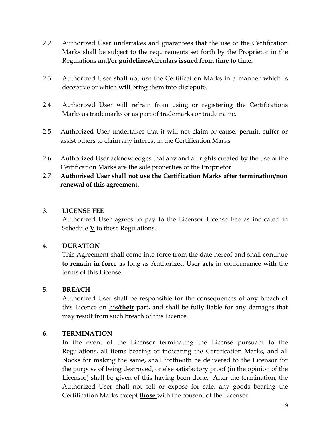- 2.2 Authorized User undertakes and guarantees that the use of the Certification Marks shall be subject to the requirements set forth by the Proprietor in the Regulations **and/or guidelines/circulars issued from time to time.**
- 2.3 Authorized User shall not use the Certification Marks in a manner which is deceptive or which **will** bring them into disrepute.
- 2.4 Authorized User will refrain from using or registering the Certifications Marks as trademarks or as part of trademarks or trade name.
- 2.5 Authorized User undertakes that it will not claim or cause, **p**ermit, suffer or assist others to claim any interest in the Certification Marks
- 2.6 Authorized User acknowledges that any and all rights created by the use of the Certification Marks are the sole propert**ies** of the Proprietor.

# 2.7 **Authorised User shall not use the Certification Marks after termination/non renewal of this agreement.**

## **3. LICENSE FEE**

Authorized User agrees to pay to the Licensor License Fee as indicated in Schedule  $\underline{V}$  to these Regulations.

## **4. DURATION**

This Agreement shall come into force from the date hereof and shall continue **to remain in force** as long as Authorized User **acts** in conformance with the terms of this License.

## **5. BREACH**

Authorized User shall be responsible for the consequences of any breach of this Licence on **his/their** part, and shall be fully liable for any damages that may result from such breach of this Licence.

## **6. TERMINATION**

In the event of the Licensor terminating the License pursuant to the Regulations, all items bearing or indicating the Certification Marks, and all blocks for making the same, shall forthwith be delivered to the Licensor for the purpose of being destroyed, or else satisfactory proof (in the opinion of the Licensor) shall be given of this having been done. After the termination, the Authorized User shall not sell or expose for sale, any goods bearing the Certification Marks except **those** with the consent of the Licensor.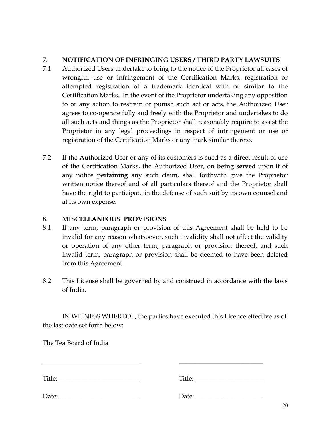# **7. NOTIFICATION OF INFRINGING USERS / THIRD PARTY LAWSUITS**

- 7.1 Authorized Users undertake to bring to the notice of the Proprietor all cases of wrongful use or infringement of the Certification Marks, registration or attempted registration of a trademark identical with or similar to the Certification Marks. In the event of the Proprietor undertaking any opposition to or any action to restrain or punish such act or acts, the Authorized User agrees to co-operate fully and freely with the Proprietor and undertakes to do all such acts and things as the Proprietor shall reasonably require to assist the Proprietor in any legal proceedings in respect of infringement or use or registration of the Certification Marks or any mark similar thereto.
- 7.2 If the Authorized User or any of its customers is sued as a direct result of use of the Certification Marks, the Authorized User, on **being served** upon it of any notice **pertaining** any such claim, shall forthwith give the Proprietor written notice thereof and of all particulars thereof and the Proprietor shall have the right to participate in the defense of such suit by its own counsel and at its own expense.

# **8. MISCELLANEOUS PROVISIONS**

- 8.1 If any term, paragraph or provision of this Agreement shall be held to be invalid for any reason whatsoever, such invalidity shall not affect the validity or operation of any other term, paragraph or provision thereof, and such invalid term, paragraph or provision shall be deemed to have been deleted from this Agreement.
- 8.2 This License shall be governed by and construed in accordance with the laws of India.

IN WITNESS WHEREOF, the parties have executed this Licence effective as of the last date set forth below:

The Tea Board of India

| Title: |                       |  |
|--------|-----------------------|--|
|        | Date: $\qquad \qquad$ |  |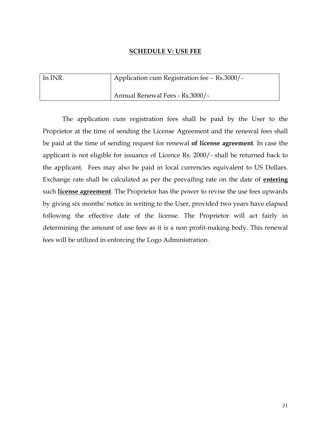#### **SCHEDULE V: USE FEE**

| In INR. | Application cum Registration fee - Rs.3000/- |
|---------|----------------------------------------------|
|         | Annual Renewal Fees - Rs.3000/-              |

The application cum registration fees shall be paid by the User to the Proprietor at the time of sending the License Agreement and the renewal fees shall be paid at the time of sending request for renewal **of license agreement**. In case the applicant is not eligible for issuance of Licence Rs. 2000/- shall be returned back to the applicant. Fees may also be paid in local currencies equivalent to US Dollars. Exchange rate shall be calculated as per the prevailing rate on the date of **entering** such **license agreement**. The Proprietor has the power to revise the use fees upwards by giving six months' notice in writing to the User, provided two years have elapsed following the effective date of the license. The Proprietor will act fairly in determining the amount of use fees as it is a non profit-making body. This renewal fees will be utilized in enforcing the Logo Administration.